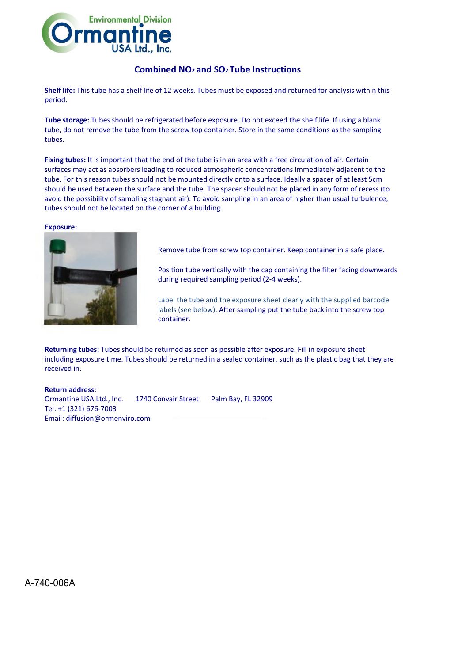

## **Combined NO2 and SO2 Tube Instructions**

**Shelf life:** This tube has a shelf life of 12 weeks. Tubes must be exposed and returned for analysis within this period.

**Tube storage:** Tubes should be refrigerated before exposure. Do not exceed the shelf life. If using a blank tube, do not remove the tube from the screw top container. Store in the same conditions as the sampling tubes.

**Fixing tubes:** It is important that the end of the tube is in an area with a free circulation of air. Certain surfaces may act as absorbers leading to reduced atmospheric concentrations immediately adjacent to the tube. For this reason tubes should not be mounted directly onto a surface. Ideally a spacer of at least 5cm should be used between the surface and the tube. The spacer should not be placed in any form of recess (to avoid the possibility of sampling stagnant air). To avoid sampling in an area of higher than usual turbulence, tubes should not be located on the corner of a building.

## **Exposure:**



Remove tube from screw top container. Keep container in a safe place.

Position tube vertically with the cap containing the filter facing downwards during required sampling period (2-4 weeks).

Label the tube and the exposure sheet clearly with the supplied barcode labels (see below). After sampling put the tube back into the screw top container.

**Returning tubes:** Tubes should be returned as soon as possible after exposure. Fill in exposure sheet including exposure time. Tubes should be returned in a sealed container, such as the plastic bag that they are received in.

**Return address:** Ormantine USA Ltd., Inc. 1740 Convair Street Palm Bay, FL 32909 Tel: +1 (321) 676-7003 Email: diffusion@ormenviro.com